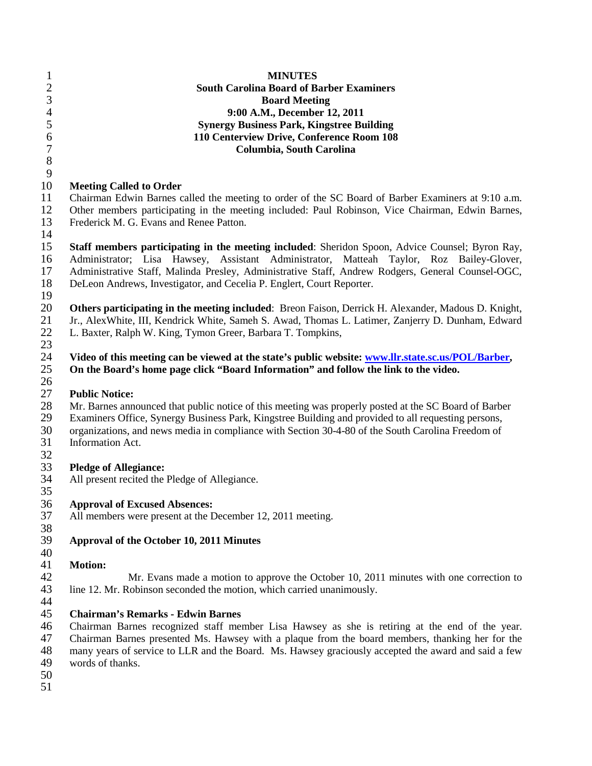| $\mathbf{1}$     | <b>MINUTES</b>                                                                                        |
|------------------|-------------------------------------------------------------------------------------------------------|
| $\overline{c}$   | <b>South Carolina Board of Barber Examiners</b>                                                       |
| 3                | <b>Board Meeting</b>                                                                                  |
| $\overline{4}$   | 9:00 A.M., December 12, 2011                                                                          |
| 5                | <b>Synergy Business Park, Kingstree Building</b>                                                      |
| $\boldsymbol{6}$ | 110 Centerview Drive, Conference Room 108                                                             |
| $\overline{7}$   |                                                                                                       |
|                  | Columbia, South Carolina                                                                              |
| $\,8\,$          |                                                                                                       |
| 9                |                                                                                                       |
| 10               | <b>Meeting Called to Order</b>                                                                        |
| 11               | Chairman Edwin Barnes called the meeting to order of the SC Board of Barber Examiners at 9:10 a.m.    |
| 12               | Other members participating in the meeting included: Paul Robinson, Vice Chairman, Edwin Barnes,      |
| 13               | Frederick M. G. Evans and Renee Patton.                                                               |
| 14               |                                                                                                       |
| 15               | Staff members participating in the meeting included: Sheridon Spoon, Advice Counsel; Byron Ray,       |
| 16               | Administrator; Lisa Hawsey, Assistant Administrator, Matteah Taylor, Roz Bailey-Glover,               |
| 17               | Administrative Staff, Malinda Presley, Administrative Staff, Andrew Rodgers, General Counsel-OGC,     |
| 18               | DeLeon Andrews, Investigator, and Cecelia P. Englert, Court Reporter.                                 |
|                  |                                                                                                       |
| 19               |                                                                                                       |
| 20               | Others participating in the meeting included: Breon Faison, Derrick H. Alexander, Madous D. Knight,   |
| 21               | Jr., AlexWhite, III, Kendrick White, Sameh S. Awad, Thomas L. Latimer, Zanjerry D. Dunham, Edward     |
| 22               | L. Baxter, Ralph W. King, Tymon Greer, Barbara T. Tompkins,                                           |
| 23               |                                                                                                       |
| 24               | Video of this meeting can be viewed at the state's public website: www.llr.state.sc.us/POL/Barber,    |
| 25               | On the Board's home page click "Board Information" and follow the link to the video.                  |
| 26               |                                                                                                       |
| 27               | <b>Public Notice:</b>                                                                                 |
| 28               | Mr. Barnes announced that public notice of this meeting was properly posted at the SC Board of Barber |
| 29               | Examiners Office, Synergy Business Park, Kingstree Building and provided to all requesting persons,   |
| 30               | organizations, and news media in compliance with Section 30-4-80 of the South Carolina Freedom of     |
| 31               | Information Act.                                                                                      |
|                  |                                                                                                       |
| 32               |                                                                                                       |
| 33               | <b>Pledge of Allegiance:</b>                                                                          |
| 34               | All present recited the Pledge of Allegiance.                                                         |
| 35               |                                                                                                       |
| 36               | <b>Approval of Excused Absences:</b>                                                                  |
| 37               | All members were present at the December 12, 2011 meeting.                                            |
| 38               |                                                                                                       |
| 39               | Approval of the October 10, 2011 Minutes                                                              |
| 40               |                                                                                                       |
| 41               | <b>Motion:</b>                                                                                        |
| 42               | Mr. Evans made a motion to approve the October 10, 2011 minutes with one correction to                |
| 43               | line 12. Mr. Robinson seconded the motion, which carried unanimously.                                 |
|                  |                                                                                                       |
| 44<br>45         | <b>Chairman's Remarks - Edwin Barnes</b>                                                              |
|                  |                                                                                                       |
| 46               | Chairman Barnes recognized staff member Lisa Hawsey as she is retiring at the end of the year.        |
| 47               | Chairman Barnes presented Ms. Hawsey with a plaque from the board members, thanking her for the       |
| 48               | many years of service to LLR and the Board. Ms. Hawsey graciously accepted the award and said a few   |
| 49               | words of thanks.                                                                                      |
| 50               |                                                                                                       |
| 51               |                                                                                                       |
|                  |                                                                                                       |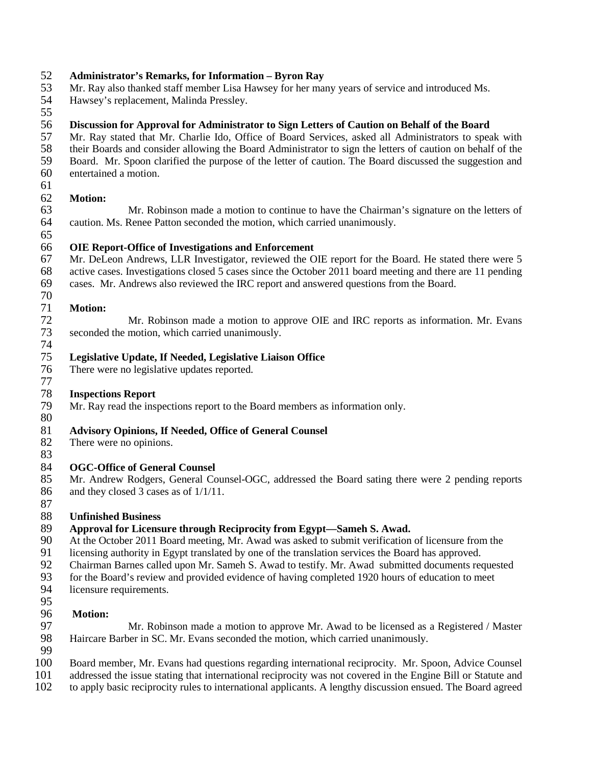# **Administrator's Remarks, for Information – Byron Ray**

Mr. Ray also thanked staff member Lisa Hawsey for her many years of service and introduced Ms.

- Hawsey's replacement, Malinda Pressley.
- 

## **Discussion for Approval for Administrator to Sign Letters of Caution on Behalf of the Board**

57 Mr. Ray stated that Mr. Charlie Ido, Office of Board Services, asked all Administrators to speak with their Boards and consider allowing the Board Administrator to sign the letters of caution on behalf of the

58 their Boards and consider allowing the Board Administrator to sign the letters of caution on behalf of the<br>59 Board. Mr. Spoon clarified the purpose of the letter of caution. The Board discussed the suggestion and 59 Board. Mr. Spoon clarified the purpose of the letter of caution. The Board discussed the suggestion and entertained a motion.

- entertained a motion.
- 61<br>62

## Motion:

63 Mr. Robinson made a motion to continue to have the Chairman's signature on the letters of caution. Ms. Renee Patton seconded the motion, which carried unanimously. 

## **OIE Report-Office of Investigations and Enforcement**

 Mr. DeLeon Andrews, LLR Investigator, reviewed the OIE report for the Board. He stated there were 5 active cases. Investigations closed 5 cases since the October 2011 board meeting and there are 11 pending cases. Mr. Andrews also reviewed the IRC report and answered questions from the Board.

# 

 **Motion:** 72 Mr. Robinson made a motion to approve OIE and IRC reports as information. Mr. Evans<br>73 seconded the motion, which carried unanimously. seconded the motion, which carried unanimously.

## 74<br>75 **Legislative Update, If Needed, Legislative Liaison Office**

There were no legislative updates reported.

# **Inspections Report**

Mr. Ray read the inspections report to the Board members as information only.

## $\begin{array}{c} 80 \\ 81 \end{array}$ **Advisory Opinions, If Needed, Office of General Counsel**

- There were no opinions.
- 

# 84 **OGC-Office of General Counsel**<br>85 Mr. Andrew Rodgers, General Co

 Mr. Andrew Rodgers, General Counsel-OGC, addressed the Board sating there were 2 pending reports and they closed 3 cases as of 1/1/11.

## **Unfinished Business**

# 89 **Approval for Licensure through Reciprocity from Egypt—Sameh S. Awad.** <br>90 At the October 2011 Board meeting. Mr. Awad was asked to submit verification

- At the October 2011 Board meeting, Mr. Awad was asked to submit verification of licensure from the
- licensing authority in Egypt translated by one of the translation services the Board has approved.
- Chairman Barnes called upon Mr. Sameh S. Awad to testify. Mr. Awad submitted documents requested
- for the Board's review and provided evidence of having completed 1920 hours of education to meet
- licensure requirements.
- 

# **Motion:**

97 Mr. Robinson made a motion to approve Mr. Awad to be licensed as a Registered / Master 98 Haircare Barber in SC. Mr. Evans seconded the motion, which carried unanimously. Haircare Barber in SC. Mr. Evans seconded the motion, which carried unanimously. 

Board member, Mr. Evans had questions regarding international reciprocity. Mr. Spoon, Advice Counsel

- 
- 101 addressed the issue stating that international reciprocity was not covered in the Engine Bill or Statute and<br>102 to apply basic reciprocity rules to international applicants. A lengthy discussion ensued. The Board agre to apply basic reciprocity rules to international applicants. A lengthy discussion ensued. The Board agreed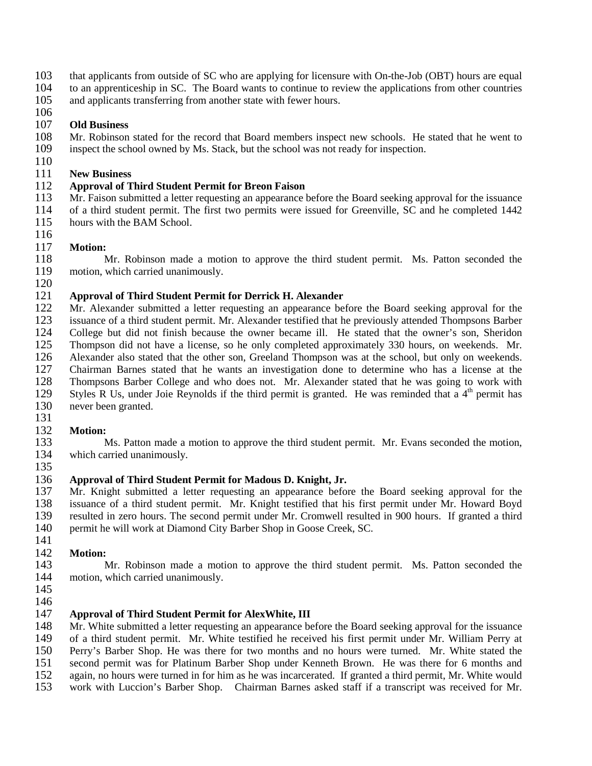- 103 that applicants from outside of SC who are applying for licensure with On-the-Job (OBT) hours are equal to an apprenticeship in SC. The Board wants to continue to review the applications from other countries
- 104 to an apprenticeship in SC. The Board wants to continue to review the applications from other countries
- 105 and applicants transferring from another state with fewer hours.

### 106<br>107 **Old Business**

- 108 Mr. Robinson stated for the record that Board members inspect new schools. He stated that he went to inspect the school owned by Ms. Stack, but the school was not ready for inspection. inspect the school owned by Ms. Stack, but the school was not ready for inspection.
- $\frac{110}{111}$

# 111 **New Business**

# 112 **Approval of Third Student Permit for Breon Faison**

- Mr. Faison submitted a letter requesting an appearance before the Board seeking approval for the issuance 114 of a third student permit. The first two permits were issued for Greenville, SC and he completed 1442 115 hours with the BAM School.
- 116

117 **Motion:** 118 Mr. Robinson made a motion to approve the third student permit. Ms. Patton seconded the motion, which carried unanimously. motion, which carried unanimously. 120

## 121 **Approval of Third Student Permit for Derrick H. Alexander**

122 Mr. Alexander submitted a letter requesting an appearance before the Board seeking approval for the issuance of a third student permit. Mr. Alexander testified that he previously attended Thompsons Barber issuance of a third student permit. Mr. Alexander testified that he previously attended Thompsons Barber 124 College but did not finish because the owner became ill. He stated that the owner's son, Sheridon 125 Thompson did not have a license, so he only completed approximately 330 hours, on weekends. Mr. 125 Thompson did not have a license, so he only completed approximately 330 hours, on weekends. Mr.<br>126 Alexander also stated that the other son, Greeland Thompson was at the school, but only on weekends. Alexander also stated that the other son, Greeland Thompson was at the school, but only on weekends. 127 Chairman Barnes stated that he wants an investigation done to determine who has a license at the 128 Thompsons Barber College and who does not. Mr. Alexander stated that he was going to work with 129 Styles R Us, under Joie Reynolds if the third permit is granted. He was reminded that a  $4<sup>th</sup>$  permit has Styles R Us, under Joie Reynolds if the third permit is granted. He was reminded that a  $4<sup>th</sup>$  permit has 130 never been granted.

# 131<br>132

132 **Motion:** Ms. Patton made a motion to approve the third student permit. Mr. Evans seconded the motion, 134 which carried unanimously.

135<br>136

## 136 **Approval of Third Student Permit for Madous D. Knight, Jr.**

137 Mr. Knight submitted a letter requesting an appearance before the Board seeking approval for the 138 issuance of a third student permit. Mr. Knight testified that his first permit under Mr. Howard Boyd<br>139 resulted in zero hours. The second permit under Mr. Cromwell resulted in 900 hours. If granted a third 139 resulted in zero hours. The second permit under Mr. Cromwell resulted in 900 hours. If granted a third<br>140 rermit he will work at Diamond City Barber Shop in Goose Creek, SC. permit he will work at Diamond City Barber Shop in Goose Creek, SC.

142 **Motion:** Mr. Robinson made a motion to approve the third student permit. Ms. Patton seconded the 144 motion, which carried unanimously.

145 146

141

## 147 **Approval of Third Student Permit for AlexWhite, III**

148 Mr. White submitted a letter requesting an appearance before the Board seeking approval for the issuance of a third student permit. Mr. White testified he received his first permit under Mr. William Perry at 149 of a third student permit. Mr. White testified he received his first permit under Mr. William Perry at 150 Perry's Barber Shop. He was there for two months and no hours were turned. Mr. White stated the

Perry's Barber Shop. He was there for two months and no hours were turned. Mr. White stated the

- 151 second permit was for Platinum Barber Shop under Kenneth Brown. He was there for 6 months and
- 152 again, no hours were turned in for him as he was incarcerated. If granted a third permit, Mr. White would<br>153 work with Luccion's Barber Shop. Chairman Barnes asked staff if a transcript was received for Mr.
- work with Luccion's Barber Shop. Chairman Barnes asked staff if a transcript was received for Mr.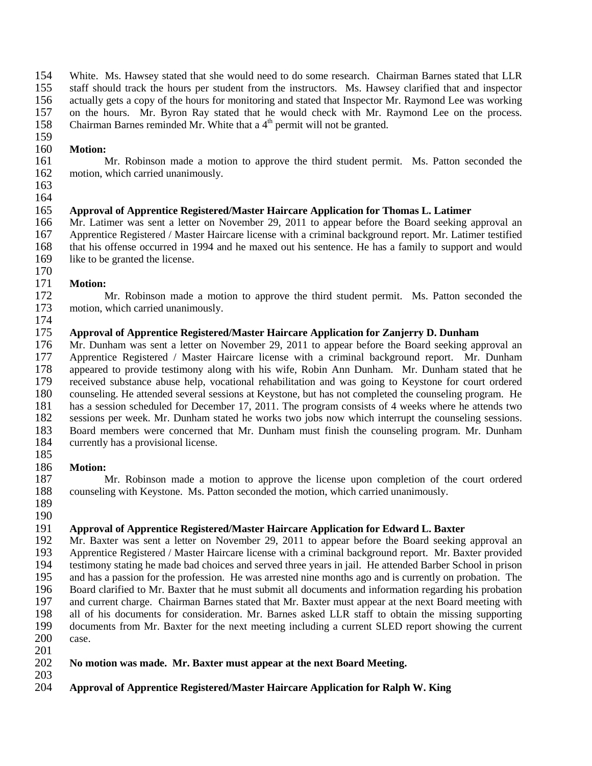154 White. Ms. Hawsey stated that she would need to do some research. Chairman Barnes stated that LLR staff should track the hours per student from the instructors. Ms. Hawsey clarified that and inspector staff should track the hours per student from the instructors. Ms. Hawsey clarified that and inspector 156 actually gets a copy of the hours for monitoring and stated that Inspector Mr. Raymond Lee was working<br>157 on the hours. Mr. Byron Ray stated that he would check with Mr. Raymond Lee on the process. 157 on the hours. Mr. Byron Ray stated that he would check with Mr. Raymond Lee on the process. 158 Chairman Barnes reminded Mr. White that a  $4<sup>th</sup>$  permit will not be granted.

# 159<br>160

160 **Motion:** 161 Mr. Robinson made a motion to approve the third student permit. Ms. Patton seconded the motion, which carried unanimously. motion, which carried unanimously.

163 164

## 165 **Approval of Apprentice Registered/Master Haircare Application for Thomas L. Latimer**

166 Mr. Latimer was sent a letter on November 29, 2011 to appear before the Board seeking approval an 167 Apprentice Registered / Master Haircare license with a criminal background report. Mr. Latimer testified 167 Apprentice Registered / Master Haircare license with a criminal background report. Mr. Latimer testified<br>168 that his offense occurred in 1994 and he maxed out his sentence. He has a family to support and would 168 that his offense occurred in 1994 and he maxed out his sentence. He has a family to support and would like to be granted the license. like to be granted the license.

171 **Motion:** Mr. Robinson made a motion to approve the third student permit. Ms. Patton seconded the 173 motion, which carried unanimously.

174

170

## 175 **Approval of Apprentice Registered/Master Haircare Application for Zanjerry D. Dunham**

176 Mr. Dunham was sent a letter on November 29, 2011 to appear before the Board seeking approval an 177 Apprentice Registered / Master Haircare license with a criminal background report. Mr. Dunham Apprentice Registered / Master Haircare license with a criminal background report. Mr. Dunham 178 appeared to provide testimony along with his wife, Robin Ann Dunham. Mr. Dunham stated that he 179 received substance abuse help, vocational rehabilitation and was going to Keystone for court ordered 180 counseling. He attended several sessions at Keystone, but has not completed the counseling program. He 181 has a session scheduled for December 17, 2011. The program consists of 4 weeks where he attends two sessions per week. Mr. Dunham stated he works two jobs now which interrupt the counseling sessions. 182 sessions per week. Mr. Dunham stated he works two jobs now which interrupt the counseling sessions.<br>183 Board members were concerned that Mr. Dunham must finish the counseling program. Mr. Dunham 183 Board members were concerned that Mr. Dunham must finish the counseling program. Mr. Dunham currently has a provisional license. currently has a provisional license. 185

186 **Motion:** 187 Mr. Robinson made a motion to approve the license upon completion of the court ordered 188 counseling with Keystone. Ms. Patton seconded the motion, which carried unanimously.

189 190

# 191 **Approval of Apprentice Registered/Master Haircare Application for Edward L. Baxter** 192 Mr. Baxter was sent a letter on November 29, 2011 to appear before the Board seeking

Mr. Baxter was sent a letter on November 29, 2011 to appear before the Board seeking approval an 193 Apprentice Registered / Master Haircare license with a criminal background report. Mr. Baxter provided 194 testimony stating he made bad choices and served three years in jail. He attended Barber School in prison 195 and has a passion for the profession. He was arrested nine months ago and is currently on probation. The 196 Board clarified to Mr. Baxter that he must submit all documents and information regarding his probation and current charge. Chairman Barnes stated that Mr. Baxter must appear at the next Board meeting with 197 and current charge. Chairman Barnes stated that Mr. Baxter must appear at the next Board meeting with all of his documents for consideration. Mr. Barnes asked LLR staff to obtain the missing supporting 198 all of his documents for consideration. Mr. Barnes asked LLR staff to obtain the missing supporting<br>199 documents from Mr. Baxter for the next meeting including a current SLED report showing the current 199 documents from Mr. Baxter for the next meeting including a current SLED report showing the current case.

201

## 202 **No motion was made. Mr. Baxter must appear at the next Board Meeting.**

- 203
- 204 **Approval of Apprentice Registered/Master Haircare Application for Ralph W. King**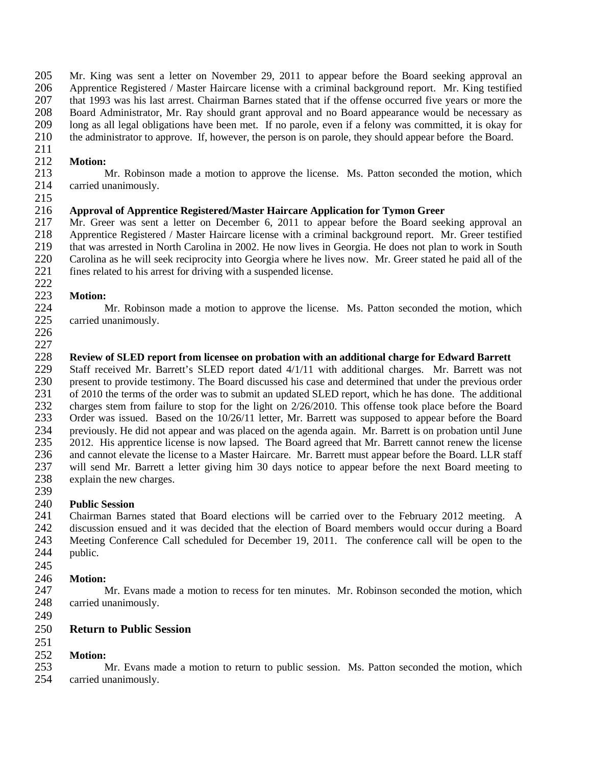205 Mr. King was sent a letter on November 29, 2011 to appear before the Board seeking approval an 206 Apprentice Registered / Master Haircare license with a criminal background report. Mr. King testified 206 Apprentice Registered / Master Haircare license with a criminal background report. Mr. King testified 207 that 1993 was his last arrest. Chairman Barnes stated that if the offense occurred five years or more the 208 Board Administrator. Mr. Ray should grant approval and no Board appearance would be necessary as 208 Board Administrator, Mr. Ray should grant approval and no Board appearance would be necessary as<br>209 Iong as all legal obligations have been met. If no parole, even if a felony was committed, it is okay for long as all legal obligations have been met. If no parole, even if a felony was committed, it is okay for 210 the administrator to approve. If, however, the person is on parole, they should appear before the Board.

211

# 212 **Motion:**

Mr. Robinson made a motion to approve the license. Ms. Patton seconded the motion, which 214 carried unanimously.

### 216 **Approval of Apprentice Registered/Master Haircare Application for Tymon Greer**

217 Mr. Greer was sent a letter on December 6, 2011 to appear before the Board seeking approval an 218 Apprentice Registered / Master Haircare license with a criminal background report. Mr. Greer testified 218 Apprentice Registered / Master Haircare license with a criminal background report. Mr. Greer testified<br>219 that was arrested in North Carolina in 2002. He now lives in Georgia. He does not plan to work in South 219 that was arrested in North Carolina in 2002. He now lives in Georgia. He does not plan to work in South<br>220 Carolina as he will seek reciprocity into Georgia where he lives now. Mr. Greer stated he paid all of the 220 Carolina as he will seek reciprocity into Georgia where he lives now. Mr. Greer stated he paid all of the fines related to his arrest for driving with a suspended license. fines related to his arrest for driving with a suspended license.

#### $222$ <br> $223$ **Motion:**

224 Mr. Robinson made a motion to approve the license. Ms. Patton seconded the motion, which 225 carried unanimously.

226

215

## 227<br>228 228 **Review of SLED report from licensee on probation with an additional charge for Edward Barrett**

Staff received Mr. Barrett's SLED report dated  $4/1/11$  with additional charges. Mr. Barrett was not 230 present to provide testimony. The Board discussed his case and determined that under the previous order<br>231 of 2010 the terms of the order was to submit an updated SLED report, which he has done. The additional 231 of 2010 the terms of the order was to submit an updated SLED report, which he has done. The additional<br>232 charges stem from failure to stop for the light on 2/26/2010. This offense took place before the Board 232 charges stem from failure to stop for the light on 2/26/2010. This offense took place before the Board<br>233 Order was issued. Based on the 10/26/11 letter, Mr. Barrett was supposed to appear before the Board 233 Order was issued. Based on the 10/26/11 letter, Mr. Barrett was supposed to appear before the Board<br>234 previously. He did not appear and was placed on the agenda again. Mr. Barrett is on probation until June 234 previously. He did not appear and was placed on the agenda again. Mr. Barrett is on probation until June<br>235 2012. His apprentice license is now lapsed. The Board agreed that Mr. Barrett cannot renew the license 235 2012. His apprentice license is now lapsed. The Board agreed that Mr. Barrett cannot renew the license 236 and cannot elevate the license to a Master Haircare. Mr. Barrett must appear before the Board. LLR staff 237 will send Mr. Barrett a letter giving him 30 days notice to appear before the next Board meeting to explain the new charges. explain the new charges. 239

# 240 **Public Session**

241 Chairman Barnes stated that Board elections will be carried over to the February 2012 meeting. A discussion ensued and it was decided that the election of Board members would occur during a Board 242 discussion ensued and it was decided that the election of Board members would occur during a Board<br>243 Meeting Conference Call scheduled for December 19, 2011. The conference call will be open to the Meeting Conference Call scheduled for December 19, 2011. The conference call will be open to the 244 public.

245

# 246 **Motion:**

Mr. Evans made a motion to recess for ten minutes. Mr. Robinson seconded the motion, which 248 carried unanimously.

249

## 250 **Return to Public Session**

## 251

252 **Motion:** Mr. Evans made a motion to return to public session. Ms. Patton seconded the motion, which 254 carried unanimously.